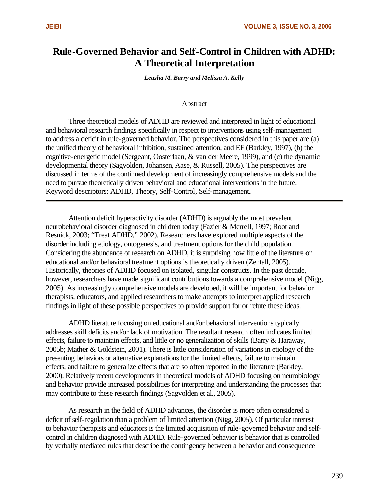# **Rule-Governed Behavior and Self-Control in Children with ADHD: A Theoretical Interpretation**

*Leasha M. Barry and Melissa A. Kelly*

#### Abstract

Three theoretical models of ADHD are reviewed and interpreted in light of educational and behavioral research findings specifically in respect to interventions using self-management to address a deficit in rule-governed behavior. The perspectives considered in this paper are (a) the unified theory of behavioral inhibition, sustained attention, and EF (Barkley, 1997), (b) the cognitive-energetic model (Sergeant, Oosterlaan, & van der Meere, 1999), and (c) the dynamic developmental theory (Sagvolden, Johansen, Aase, & Russell, 2005). The perspectives are discussed in terms of the continued development of increasingly comprehensive models and the need to pursue theoretically driven behavioral and educational interventions in the future. Keyword descriptors: ADHD, Theory, Self-Control, Self-management.

Attention deficit hyperactivity disorder (ADHD) is arguably the most prevalent neurobehavioral disorder diagnosed in children today (Fazier & Merrell, 1997; Root and Resnick, 2003; "Treat ADHD," 2002). Researchers have explored multiple aspects of the disorder including etiology, ontogenesis, and treatment options for the child population. Considering the abundance of research on ADHD, it is surprising how little of the literature on educational and/or behavioral treatment options is theoretically driven (Zentall, 2005). Historically, theories of ADHD focused on isolated, singular constructs. In the past decade, however, researchers have made significant contributions towards a comprehensive model (Nigg, 2005). As increasingly comprehensive models are developed, it will be important for behavior therapists, educators, and applied researchers to make attempts to interpret applied research findings in light of these possible perspectives to provide support for or refute these ideas.

ADHD literature focusing on educational and/or behavioral interventions typically addresses skill deficits and/or lack of motivation. The resultant research often indicates limited effects, failure to maintain effects, and little or no generalization of skills (Barry & Haraway, 2005b; Mather & Goldstein, 2001). There is little consideration of variations in etiology of the presenting behaviors or alternative explanations for the limited effects, failure to maintain effects, and failure to generalize effects that are so often reported in the literature (Barkley, 2000). Relatively recent developments in theoretical models of ADHD focusing on neurobiology and behavior provide increased possibilities for interpreting and understanding the processes that may contribute to these research findings (Sagvolden et al., 2005).

As research in the field of ADHD advances, the disorder is more often considered a deficit of self-regulation than a problem of limited attention (Nigg, 2005). Of particular interest to behavior therapists and educators is the limited acquisition of rule-governed behavior and selfcontrol in children diagnosed with ADHD. Rule-governed behavior is behavior that is controlled by verbally mediated rules that describe the contingency between a behavior and consequence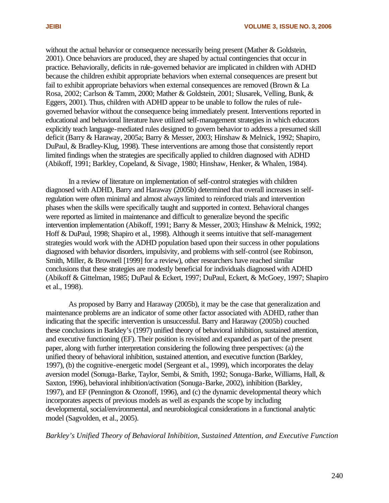without the actual behavior or consequence necessarily being present (Mather & Goldstein, 2001). Once behaviors are produced, they are shaped by actual contingencies that occur in practice. Behaviorally, deficits in rule-governed behavior are implicated in children with ADHD because the children exhibit appropriate behaviors when external consequences are present but fail to exhibit appropriate behaviors when external consequences are removed (Brown & La Rosa, 2002; Carlson & Tamm, 2000; Mather & Goldstein, 2001; Slusarek, Velling, Bunk, & Eggers, 2001). Thus, children with ADHD appear to be unable to follow the rules of rulegoverned behavior without the consequence being immediately present. Interventions reported in educational and behavioral literature have utilized self-management strategies in which educators explicitly teach language-mediated rules designed to govern behavior to address a presumed skill deficit (Barry & Haraway, 2005a; Barry & Messer, 2003; Hinshaw & Melnick, 1992; Shapiro, DuPaul, & Bradley-Klug, 1998). These interventions are among those that consistently report limited findings when the strategies are specifically applied to children diagnosed with ADHD (Abikoff, 1991; Barkley, Copeland, & Sivage, 1980; Hinshaw, Henker, & Whalen, 1984).

In a review of literature on implementation of self-control strategies with children diagnosed with ADHD, Barry and Haraway (2005b) determined that overall increases in selfregulation were often minimal and almost always limited to reinforced trials and intervention phases when the skills were specifically taught and supported in context. Behavioral changes were reported as limited in maintenance and difficult to generalize beyond the specific intervention implementation (Abikoff, 1991; Barry & Messer, 2003; Hinshaw & Melnick, 1992; Hoff & DuPaul, 1998; Shapiro et al., 1998). Although it seems intuitive that self-management strategies would work with the ADHD population based upon their success in other populations diagnosed with behavior disorders, impulsivity, and problems with self-control (see Robinson, Smith, Miller, & Brownell [1999] for a review), other researchers have reached similar conclusions that these strategies are modestly beneficial for individuals diagnosed with ADHD (Abikoff & Gittelman, 1985; DuPaul & Eckert, 1997; DuPaul, Eckert, & McGoey, 1997; Shapiro et al., 1998).

As proposed by Barry and Haraway (2005b), it may be the case that generalization and maintenance problems are an indicator of some other factor associated with ADHD, rather than indicating that the specific intervention is unsuccessful. Barry and Haraway (2005b) couched these conclusions in Barkley's (1997) unified theory of behavioral inhibition, sustained attention, and executive functioning (EF). Their position is revisited and expanded as part of the present paper, along with further interpretation considering the following three perspectives: (a) the unified theory of behavioral inhibition, sustained attention, and executive function (Barkley, 1997), (b) the cognitive-energetic model (Sergeant et al., 1999), which incorporates the delay aversion model (Sonuga-Barke, Taylor, Sembi, & Smith, 1992; Sonuga-Barke, Williams, Hall, & Saxton, 1996), behavioral inhibition/activation (Sonuga-Barke, 2002), inhibition (Barkley, 1997), and EF (Pennington & Ozonoff, 1996), and (c) the dynamic developmental theory which incorporates aspects of previous models as well as expands the scope by including developmental, social/environmental, and neurobiological considerations in a functional analytic model (Sagvolden, et al., 2005).

*Barkley's Unified Theory of Behavioral Inhibition, Sustained Attention, and Executive Function*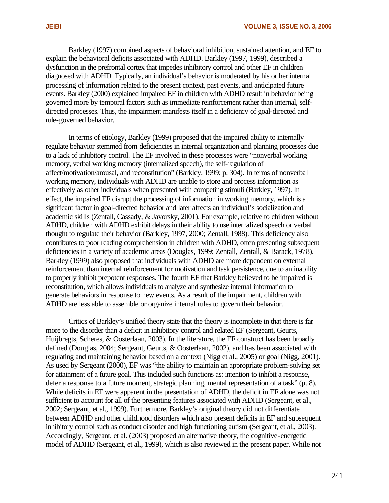Barkley (1997) combined aspects of behavioral inhibition, sustained attention, and EF to explain the behavioral deficits associated with ADHD. Barkley (1997, 1999), described a dysfunction in the prefrontal cortex that impedes inhibitory control and other EF in children diagnosed with ADHD. Typically, an individual's behavior is moderated by his or her internal processing of information related to the present context, past events, and anticipated future events. Barkley (2000) explained impaired EF in children with ADHD result in behavior being governed more by temporal factors such as immediate reinforcement rather than internal, selfdirected processes. Thus, the impairment manifests itself in a deficiency of goal-directed and rule-governed behavior.

In terms of etiology, Barkley (1999) proposed that the impaired ability to internally regulate behavior stemmed from deficiencies in internal organization and planning processes due to a lack of inhibitory control. The EF involved in these processes were "nonverbal working memory, verbal working memory (internalized speech), the self-regulation of affect/motivation/arousal, and reconstitution" (Barkley, 1999; p. 304). In terms of nonverbal working memory, individuals with ADHD are unable to store and process information as effectively as other individuals when presented with competing stimuli (Barkley, 1997). In effect, the impaired EF disrupt the processing of information in working memory, which is a significant factor in goal-directed behavior and later affects an individual's socialization and academic skills (Zentall, Cassady, & Javorsky, 2001). For example, relative to children without ADHD, children with ADHD exhibit delays in their ability to use internalized speech or verbal thought to regulate their behavior (Barkley, 1997, 2000; Zentall, 1988). This deficiency also contributes to poor reading comprehension in children with ADHD, often presenting subsequent deficiencies in a variety of academic areas (Douglas, 1999; Zentall, Zentall, & Barack, 1978). Barkley (1999) also proposed that individuals with ADHD are more dependent on external reinforcement than internal reinforcement for motivation and task persistence, due to an inability to properly inhibit prepotent responses. The fourth EF that Barkley believed to be impaired is reconstitution, which allows individuals to analyze and synthesize internal information to generate behaviors in response to new events. As a result of the impairment, children with ADHD are less able to assemble or organize internal rules to govern their behavior.

Critics of Barkley's unified theory state that the theory is incomplete in that there is far more to the disorder than a deficit in inhibitory control and related EF (Sergeant, Geurts, Huijbregts, Scheres, & Oosterlaan, 2003). In the literature, the EF construct has been broadly defined (Douglas, 2004; Sergeant, Geurts, & Oosterlaan, 2002), and has been associated with regulating and maintaining behavior based on a context (Nigg et al., 2005) or goal (Nigg, 2001). As used by Sergeant (2000), EF was "the ability to maintain an appropriate problem-solving set for attainment of a future goal. This included such functions as: intention to inhibit a response, defer a response to a future moment, strategic planning, mental representation of a task" (p. 8). While deficits in EF were apparent in the presentation of ADHD, the deficit in EF alone was not sufficient to account for all of the presenting features associated with ADHD (Sergeant, et al., 2002; Sergeant, et al., 1999). Furthermore, Barkley's original theory did not differentiate between ADHD and other childhood disorders which also present deficits in EF and subsequent inhibitory control such as conduct disorder and high functioning autism (Sergeant, et al., 2003). Accordingly, Sergeant, et al. (2003) proposed an alternative theory, the cognitive-energetic model of ADHD (Sergeant, et al., 1999), which is also reviewed in the present paper. While not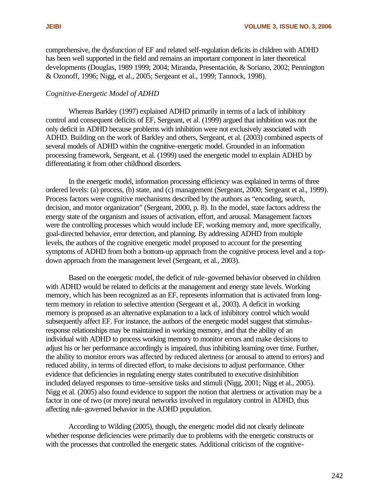comprehensive, the dysfunction of EF and related self-regulation deficits in children with ADHD has been well supported in the field and remains an important component in later theoretical developments (Douglas, 1989 1999; 2004; Miranda, Presentación, & Soriano, 2002; Pennington & Ozonoff, 1996; Nigg, et al., 2005; Sergeant et al., 1999; Tannock, 1998).

## *Cognitive-Energetic Model of ADHD*

Whereas Barkley (1997) explained ADHD primarily in terms of a lack of inhibitory control and consequent deficits of EF, Sergeant, et al. (1999) argued that inhibition was not the only deficit in ADHD because problems with inhibition were not exclusively associated with ADHD. Building on the work of Barkley and others, Sergeant, et al. (2003) combined aspects of several models of ADHD within the cognitive-energetic model. Grounded in an information processing framework, Sergeant, et al. (1999) used the energetic model to explain ADHD by differentiating it from other childhood disorders.

In the energetic model, information processing efficiency was explained in terms of three ordered levels: (a) process, (b) state, and (c) management (Sergeant, 2000; Sergeant et al., 1999). Process factors were cognitive mechanisms described by the authors as "encoding, search, decision, and motor organization" (Sergeant, 2000, p. 8). In the model, state factors address the energy state of the organism and issues of activation, effort, and arousal. Management factors were the controlling processes which would include EF, working memory and, more specifically, goal-directed behavior, error detection, and planning. By addressing ADHD from multiple levels, the authors of the cognitive energetic model proposed to account for the presenting symptoms of ADHD from both a bottom-up approach from the cognitive process level and a topdown approach from the management level (Sergeant, et al., 2003).

Based on the energetic model, the deficit of rule-governed behavior observed in children with ADHD would be related to deficits at the management and energy state levels. Working memory, which has been recognized as an EF, represents information that is activated from longterm memory in relation to selective attention (Sergeant et al., 2003). A deficit in working memory is proposed as an alternative explanation to a lack of inhibitory control which would subsequently affect EF. For instance, the authors of the energetic model suggest that stimulusresponse relationships may be maintained in working memory, and that the ability of an individual with ADHD to process working memory to monitor errors and make decisions to adjust his or her performance accordingly is impaired, thus inhibiting learning over time. Further, the ability to monitor errors was affected by reduced alertness (or arousal to attend to errors) and reduced ability, in terms of directed effort, to make decisions to adjust performance. Other evidence that deficiencies in regulating energy states contributed to executive disinhibition included delayed responses to time-sensitive tasks and stimuli (Nigg, 2001; Nigg et al., 2005). Nigg et al. (2005) also found evidence to support the notion that alertness or activation may be a factor in one of two (or more) neural networks involved in regulatory control in ADHD, thus affecting rule-governed behavior in the ADHD population.

According to Wilding (2005), though, the energetic model did not clearly delineate whether response deficiencies were primarily due to problems with the energetic constructs or with the processes that controlled the energetic states. Additional criticism of the cognitive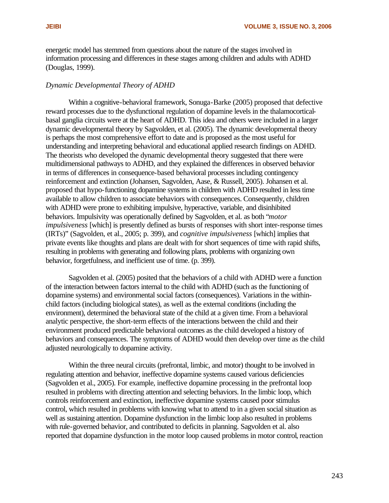energetic model has stemmed from questions about the nature of the stages involved in information processing and differences in these stages among children and adults with ADHD (Douglas, 1999).

# *Dynamic Developmental Theory of ADHD*

Within a cognitive-behavioral framework, Sonuga-Barke (2005) proposed that defective reward processes due to the dysfunctional regulation of dopamine levels in the thalamocorticalbasal ganglia circuits were at the heart of ADHD. This idea and others were included in a larger dynamic developmental theory by Sagvolden, et al. (2005). The dynamic developmental theory is perhaps the most comprehensive effort to date and is proposed as the most useful for understanding and interpreting behavioral and educational applied research findings on ADHD. The theorists who developed the dynamic developmental theory suggested that there were multidimensional pathways to ADHD, and they explained the differences in observed behavior in terms of differences in consequence-based behavioral processes including contingency reinforcement and extinction (Johansen, Sagvolden, Aase, & Russell, 2005). Johansen et al. proposed that hypo-functioning dopamine systems in children with ADHD resulted in less time available to allow children to associate behaviors with consequences. Consequently, children with ADHD were prone to exhibiting impulsive, hyperactive, variable, and disinhibited behaviors. Impulsivity was operationally defined by Sagvolden, et al. as both "*motor impulsiveness* [which] is presently defined as bursts of responses with short inter-response times (IRTs)" (Sagvolden, et al., 2005; p. 399), and *cognitive impulsiveness* [which] implies that private events like thoughts and plans are dealt with for short sequences of time with rapid shifts, resulting in problems with generating and following plans, problems with organizing own behavior, forgetfulness, and inefficient use of time. (p. 399).

Sagvolden et al. (2005) posited that the behaviors of a child with ADHD were a function of the interaction between factors internal to the child with ADHD (such as the functioning of dopamine systems) and environmental social factors (consequences). Variations in the withinchild factors (including biological states), as well as the external conditions (including the environment), determined the behavioral state of the child at a given time. From a behavioral analytic perspective, the short-term effects of the interactions between the child and their environment produced predictable behavioral outcomes as the child developed a history of behaviors and consequences. The symptoms of ADHD would then develop over time as the child adjusted neurologically to dopamine activity.

Within the three neural circuits (prefrontal, limbic, and motor) thought to be involved in regulating attention and behavior, ineffective dopamine systems caused various deficiencies (Sagvolden et al., 2005). For example, ineffective dopamine processing in the prefrontal loop resulted in problems with directing attention and selecting behaviors. In the limbic loop, which controls reinforcement and extinction, ineffective dopamine systems caused poor stimulus control, which resulted in problems with knowing what to attend to in a given social situation as well as sustaining attention. Dopamine dysfunction in the limbic loop also resulted in problems with rule-governed behavior, and contributed to deficits in planning. Sagvolden et al. also reported that dopamine dysfunction in the motor loop caused problems in motor control, reaction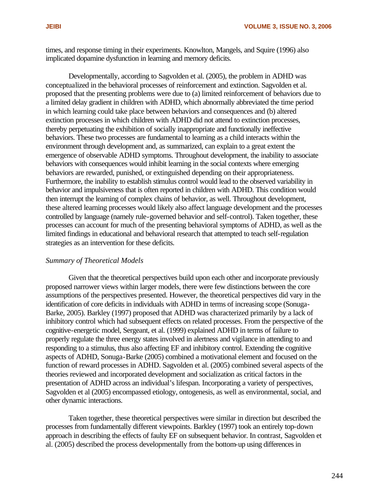times, and response timing in their experiments. Knowlton, Mangels, and Squire (1996) also implicated dopamine dysfunction in learning and memory deficits.

Developmentally, according to Sagvolden et al. (2005), the problem in ADHD was conceptualized in the behavioral processes of reinforcement and extinction. Sagvolden et al. proposed that the presenting problems were due to (a) limited reinforcement of behaviors due to a limited delay gradient in children with ADHD, which abnormally abbreviated the time period in which learning could take place between behaviors and consequences and (b) altered extinction processes in which children with ADHD did not attend to extinction processes, thereby perpetuating the exhibition of socially inappropriate and functionally ineffective behaviors. These two processes are fundamental to learning as a child interacts within the environment through development and, as summarized, can explain to a great extent the emergence of observable ADHD symptoms. Throughout development, the inability to associate behaviors with consequences would inhibit learning in the social contexts where emerging behaviors are rewarded, punished, or extinguished depending on their appropriateness. Furthermore, the inability to establish stimulus control would lead to the observed variability in behavior and impulsiveness that is often reported in children with ADHD. This condition would then interrupt the learning of complex chains of behavior, as well. Throughout development, these altered learning processes would likely also affect language development and the processes controlled by language (namely rule-governed behavior and self-control). Taken together, these processes can account for much of the presenting behavioral symptoms of ADHD, as well as the limited findings in educational and behavioral research that attempted to teach self-regulation strategies as an intervention for these deficits.

## *Summary of Theoretical Models*

Given that the theoretical perspectives build upon each other and incorporate previously proposed narrower views within larger models, there were few distinctions between the core assumptions of the perspectives presented. However, the theoretical perspectives did vary in the identification of core deficits in individuals with ADHD in terms of increasing scope (Sonuga-Barke, 2005). Barkley (1997) proposed that ADHD was characterized primarily by a lack of inhibitory control which had subsequent effects on related processes. From the perspective of the cognitive-energetic model, Sergeant, et al. (1999) explained ADHD in terms of failure to properly regulate the three energy states involved in alertness and vigilance in attending to and responding to a stimulus, thus also affecting EF and inhibitory control. Extending the cognitive aspects of ADHD, Sonuga-Barke (2005) combined a motivational element and focused on the function of reward processes in ADHD. Sagvolden et al. (2005) combined several aspects of the theories reviewed and incorporated development and socialization as critical factors in the presentation of ADHD across an individual's lifespan. Incorporating a variety of perspectives, Sagvolden et al (2005) encompassed etiology, ontogenesis, as well as environmental, social, and other dynamic interactions.

Taken together, these theoretical perspectives were similar in direction but described the processes from fundamentally different viewpoints. Barkley (1997) took an entirely top-down approach in describing the effects of faulty EF on subsequent behavior. In contrast, Sagvolden et al. (2005) described the process developmentally from the bottom-up using differences in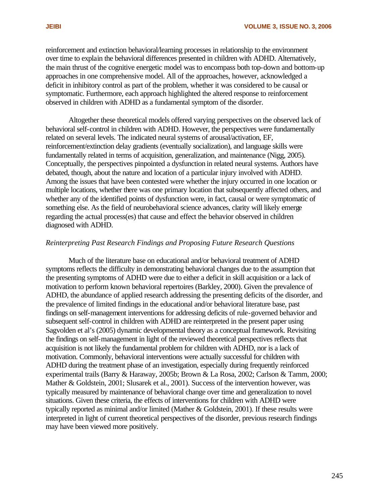reinforcement and extinction behavioral/learning processes in relationship to the environment over time to explain the behavioral differences presented in children with ADHD. Alternatively, the main thrust of the cognitive energetic model was to encompass both top-down and bottom-up approaches in one comprehensive model. All of the approaches, however, acknowledged a deficit in inhibitory control as part of the problem, whether it was considered to be causal or symptomatic. Furthermore, each approach highlighted the altered response to reinforcement observed in children with ADHD as a fundamental symptom of the disorder.

Altogether these theoretical models offered varying perspectives on the observed lack of behavioral self-control in children with ADHD. However, the perspectives were fundamentally related on several levels. The indicated neural systems of arousal/activation, EF, reinforcement/extinction delay gradients (eventually socialization), and language skills were fundamentally related in terms of acquisition, generalization, and maintenance (Nigg, 2005). Conceptually, the perspectives pinpointed a dysfunction in related neural systems. Authors have debated, though, about the nature and location of a particular injury involved with ADHD. Among the issues that have been contested were whether the injury occurred in one location or multiple locations, whether there was one primary location that subsequently affected others, and whether any of the identified points of dysfunction were, in fact, causal or were symptomatic of something else. As the field of neurobehavioral science advances, clarity will likely emerge regarding the actual process(es) that cause and effect the behavior observed in children diagnosed with ADHD.

# *Reinterpreting Past Research Findings and Proposing Future Research Questions*

Much of the literature base on educational and/or behavioral treatment of ADHD symptoms reflects the difficulty in demonstrating behavioral changes due to the assumption that the presenting symptoms of ADHD were due to either a deficit in skill acquisition or a lack of motivation to perform known behavioral repertoires (Barkley, 2000). Given the prevalence of ADHD, the abundance of applied research addressing the presenting deficits of the disorder, and the prevalence of limited findings in the educational and/or behavioral literature base, past findings on self-management interventions for addressing deficits of rule-governed behavior and subsequent self-control in children with ADHD are reinterpreted in the present paper using Sagvolden et al's (2005) dynamic developmental theory as a conceptual framework. Revisiting the findings on self-management in light of the reviewed theoretical perspectives reflects that acquisition is not likely the fundamental problem for children with ADHD, nor is a lack of motivation. Commonly, behavioral interventions were actually successful for children with ADHD during the treatment phase of an investigation, especially during frequently reinforced experimental trails (Barry & Haraway, 2005b; Brown & La Rosa, 2002; Carlson & Tamm, 2000; Mather & Goldstein, 2001; Slusarek et al., 2001). Success of the intervention however, was typically measured by maintenance of behavioral change over time and generalization to novel situations. Given these criteria, the effects of interventions for children with ADHD were typically reported as minimal and/or limited (Mather & Goldstein, 2001). If these results were interpreted in light of current theoretical perspectives of the disorder, previous research findings may have been viewed more positively.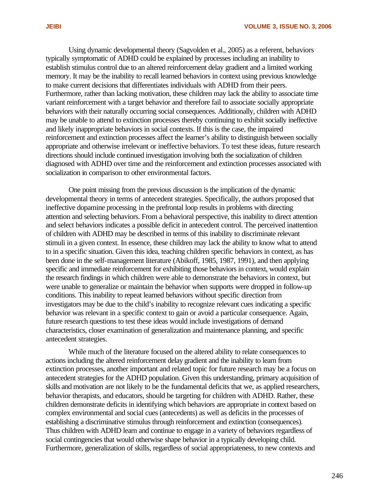Using dynamic developmental theory (Sagvolden et al., 2005) as a referent, behaviors typically symptomatic of ADHD could be explained by processes including an inability to establish stimulus control due to an altered reinforcement delay gradient and a limited working memory. It may be the inability to recall learned behaviors in context using previous knowledge to make current decisions that differentiates individuals with ADHD from their peers. Furthermore, rather than lacking motivation, these children may lack the ability to associate time variant reinforcement with a target behavior and therefore fail to associate socially appropriate behaviors with their naturally occurring social consequences. Additionally, children with ADHD may be unable to attend to extinction processes thereby continuing to exhibit socially ineffective and likely inappropriate behaviors in social contexts. If this is the case, the impaired reinforcement and extinction processes affect the learner's ability to distinguish between socially appropriate and otherwise irrelevant or ineffective behaviors. To test these ideas, future research directions should include continued investigation involving both the socialization of children diagnosed with ADHD over time and the reinforcement and extinction processes associated with socialization in comparison to other environmental factors.

One point missing from the previous discussion is the implication of the dynamic developmental theory in terms of antecedent strategies. Specifically, the authors proposed that ineffective dopamine processing in the prefrontal loop results in problems with directing attention and selecting behaviors. From a behavioral perspective, this inability to direct attention and select behaviors indicates a possible deficit in antecedent control. The perceived inattention of children with ADHD may be described in terms of this inability to discriminate relevant stimuli in a given context. In essence, these children may lack the ability to know what to attend to in a specific situation. Given this idea, teaching children specific behaviors in context, as has been done in the self-management literature (Abikoff, 1985, 1987, 1991), and then applying specific and immediate reinforcement for exhibiting those behaviors in context, would explain the research findings in which children were able to demonstrate the behaviors in context, but were unable to generalize or maintain the behavior when supports were dropped in follow-up conditions. This inability to repeat learned behaviors without specific direction from investigators may be due to the child's inability to recognize relevant cues indicating a specific behavior was relevant in a specific context to gain or avoid a particular consequence. Again, future research questions to test these ideas would include investigations of demand characteristics, closer examination of generalization and maintenance planning, and specific antecedent strategies.

While much of the literature focused on the altered ability to relate consequences to actions including the altered reinforcement delay gradient and the inability to learn from extinction processes, another important and related topic for future research may be a focus on antecedent strategies for the ADHD population. Given this understanding, primary acquisition of skills and motivation are not likely to be the fundamental deficits that we, as applied researchers, behavior therapists, and educators, should be targeting for children with ADHD. Rather, these children demonstrate deficits in identifying which behaviors are appropriate in context based on complex environmental and social cues (antecedents) as well as deficits in the processes of establishing a discriminative stimulus through reinforcement and extinction (consequences). Thus children with ADHD learn and continue to engage in a variety of behaviors regardless of social contingencies that would otherwise shape behavior in a typically developing child. Furthermore, generalization of skills, regardless of social appropriateness, to new contexts and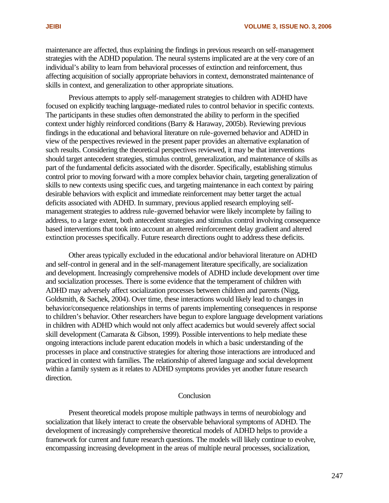maintenance are affected, thus explaining the findings in previous research on self-management strategies with the ADHD population. The neural systems implicated are at the very core of an individual's ability to learn from behavioral processes of extinction and reinforcement, thus affecting acquisition of socially appropriate behaviors in context, demonstrated maintenance of skills in context, and generalization to other appropriate situations.

Previous attempts to apply self-management strategies to children with ADHD have focused on explicitly teaching language-mediated rules to control behavior in specific contexts. The participants in these studies often demonstrated the ability to perform in the specified context under highly reinforced conditions (Barry & Haraway, 2005b). Reviewing previous findings in the educational and behavioral literature on rule-governed behavior and ADHD in view of the perspectives reviewed in the present paper provides an alternative explanation of such results. Considering the theoretical perspectives reviewed, it may be that interventions should target antecedent strategies, stimulus control, generalization, and maintenance of skills as part of the fundamental deficits associated with the disorder. Specifically, establishing stimulus control prior to moving forward with a more complex behavior chain, targeting generalization of skills to new contexts using specific cues, and targeting maintenance in each context by pairing desirable behaviors with explicit and immediate reinforcement may better target the actual deficits associated with ADHD. In summary, previous applied research employing selfmanagement strategies to address rule-governed behavior were likely incomplete by failing to address, to a large extent, both antecedent strategies and stimulus control involving consequence based interventions that took into account an altered reinforcement delay gradient and altered extinction processes specifically. Future research directions ought to address these deficits.

Other areas typically excluded in the educational and/or behavioral literature on ADHD and self-control in general and in the self-management literature specifically, are socialization and development. Increasingly comprehensive models of ADHD include development over time and socialization processes. There is some evidence that the temperament of children with ADHD may adversely affect socialization processes between children and parents (Nigg, Goldsmith, & Sachek, 2004). Over time, these interactions would likely lead to changes in behavior/consequence relationships in terms of parents implementing consequences in response to children's behavior. Other researchers have begun to explore language development variations in children with ADHD which would not only affect academics but would severely affect social skill development (Camarata & Gibson, 1999). Possible interventions to help mediate these ongoing interactions include parent education models in which a basic understanding of the processes in place and constructive strategies for altering those interactions are introduced and practiced in context with families. The relationship of altered language and social development within a family system as it relates to ADHD symptoms provides yet another future research direction.

#### **Conclusion**

Present theoretical models propose multiple pathways in terms of neurobiology and socialization that likely interact to create the observable behavioral symptoms of ADHD. The development of increasingly comprehensive theoretical models of ADHD helps to provide a framework for current and future research questions. The models will likely continue to evolve, encompassing increasing development in the areas of multiple neural processes, socialization,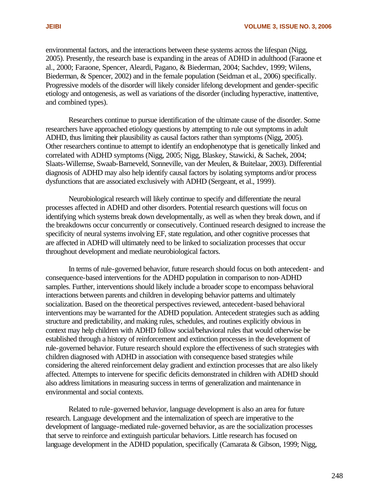environmental factors, and the interactions between these systems across the lifespan (Nigg, 2005). Presently, the research base is expanding in the areas of ADHD in adulthood (Faraone et al., 2000; Faraone, Spencer, Aleardi, Pagano, & Biederman, 2004; Sachdev, 1999; Wilens, Biederman, & Spencer, 2002) and in the female population (Seidman et al., 2006) specifically. Progressive models of the disorder will likely consider lifelong development and gender-specific etiology and ontogenesis, as well as variations of the disorder (including hyperactive, inattentive, and combined types).

Researchers continue to pursue identification of the ultimate cause of the disorder. Some researchers have approached etiology questions by attempting to rule out symptoms in adult ADHD, thus limiting their plausibility as causal factors rather than symptoms (Nigg, 2005). Other researchers continue to attempt to identify an endophenotype that is genetically linked and correlated with ADHD symptoms (Nigg, 2005; Nigg, Blaskey, Stawicki, & Sachek, 2004; Slaats-Willemse, Swaab-Barneveld, Sonneville, van der Meulen, & Buitelaar, 2003). Differential diagnosis of ADHD may also help identify causal factors by isolating symptoms and/or process dysfunctions that are associated exclusively with ADHD (Sergeant, et al., 1999).

Neurobiological research will likely continue to specify and differentiate the neural processes affected in ADHD and other disorders. Potential research questions will focus on identifying which systems break down developmentally, as well as when they break down, and if the breakdowns occur concurrently or consecutively. Continued research designed to increase the specificity of neural systems involving EF, state regulation, and other cognitive processes that are affected in ADHD will ultimately need to be linked to socialization processes that occur throughout development and mediate neurobiological factors.

In terms of rule-governed behavior, future research should focus on both antecedent- and consequence-based interventions for the ADHD population in comparison to non-ADHD samples. Further, interventions should likely include a broader scope to encompass behavioral interactions between parents and children in developing behavior patterns and ultimately socialization. Based on the theoretical perspectives reviewed, antecedent-based behavioral interventions may be warranted for the ADHD population. Antecedent strategies such as adding structure and predictability, and making rules, schedules, and routines explicitly obvious in context may help children with ADHD follow social/behavioral rules that would otherwise be established through a history of reinforcement and extinction processes in the development of rule-governed behavior. Future research should explore the effectiveness of such strategies with children diagnosed with ADHD in association with consequence based strategies while considering the altered reinforcement delay gradient and extinction processes that are also likely affected. Attempts to intervene for specific deficits demonstrated in children with ADHD should also address limitations in measuring success in terms of generalization and maintenance in environmental and social contexts.

Related to rule-governed behavior, language development is also an area for future research. Language development and the internalization of speech are imperative to the development of language-mediated rule-governed behavior, as are the socialization processes that serve to reinforce and extinguish particular behaviors. Little research has focused on language development in the ADHD population, specifically (Camarata & Gibson, 1999; Nigg,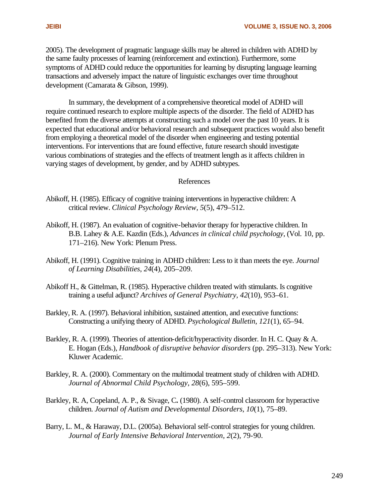2005). The development of pragmatic language skills may be altered in children with ADHD by the same faulty processes of learning (reinforcement and extinction). Furthermore, some symptoms of ADHD could reduce the opportunities for learning by disrupting language learning transactions and adversely impact the nature of linguistic exchanges over time throughout development (Camarata & Gibson, 1999).

In summary, the development of a comprehensive theoretical model of ADHD will require continued research to explore multiple aspects of the disorder. The field of ADHD has benefited from the diverse attempts at constructing such a model over the past 10 years. It is expected that educational and/or behavioral research and subsequent practices would also benefit from employing a theoretical model of the disorder when engineering and testing potential interventions. For interventions that are found effective, future research should investigate various combinations of strategies and the effects of treatment length as it affects children in varying stages of development, by gender, and by ADHD subtypes.

#### References

- Abikoff, H. (1985). Efficacy of cognitive training interventions in hyperactive children: A critical review. *Clinical Psychology Review, 5*(5), 479–512.
- Abikoff, H. (1987). An evaluation of cognitive-behavior therapy for hyperactive children. In B.B. Lahey & A.E. Kazdin (Eds.), *Advances in clinical child psychology*, (Vol. 10, pp. 171–216). New York: Plenum Press.
- Abikoff, H. (1991). Cognitive training in ADHD children: Less to it than meets the eye. *Journal of Learning Disabilities*, *24*(4), 205–209.
- Abikoff H., & Gittelman, R. (1985). Hyperactive children treated with stimulants. Is cognitive training a useful adjunct? *Archives of General Psychiatry, 42*(10), 953–61.
- Barkley, R. A. (1997). Behavioral inhibition, sustained attention, and executive functions: Constructing a unifying theory of ADHD. *Psychological Bulletin*, *121*(1), 65–94.
- Barkley, R. A. (1999). Theories of attention-deficit/hyperactivity disorder. In H. C. Quay & A. E. Hogan (Eds.), *Handbook of disruptive behavior disorders* (pp. 295–313). New York: Kluwer Academic.
- Barkley, R. A. (2000). Commentary on the multimodal treatment study of children with ADHD. *Journal of Abnormal Child Psychology*, *28*(6), 595–599.
- Barkley, R. A, Copeland, A. P., & Sivage, C**.** (1980). A self-control classroom for hyperactive children. *Journal of Autism and Developmental Disorders, 10*(1), 75–89.
- Barry, L. M., & Haraway, D.L. (2005a). Behavioral self-control strategies for young children. *Journal of Early Intensive Behavioral Intervention, 2*(2), 79-90.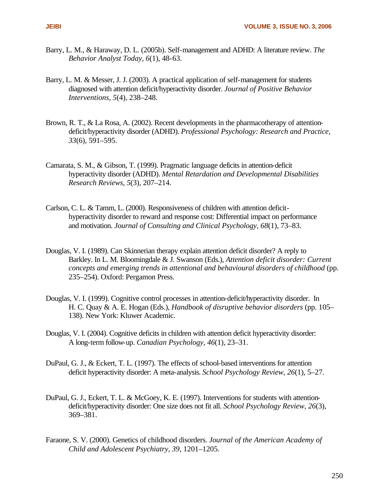- Barry, L. M., & Haraway, D. L. (2005b). Self-management and ADHD: A literature review. *The Behavior Analyst Today, 6*(1), 48-63.
- Barry, L. M. & Messer, J. J. (2003). A practical application of self-management for students diagnosed with attention deficit/hyperactivity disorder. *Journal of Positive Behavior Interventions*, *5*(4), 238–248.
- Brown, R. T., & La Rosa, A. (2002). Recent developments in the pharmacotherapy of attentiondeficit/hyperactivity disorder (ADHD). *Professional Psychology: Research and Practice*, *33*(6), 591–595.
- Camarata, S. M., & Gibson, T. (1999). Pragmatic language deficits in attention-deficit hyperactivity disorder (ADHD). *Mental Retardation and Developmental Disabilities Research Reviews, 5*(3), 207–214.
- Carlson, C. L. & Tamm, L. (2000). Responsiveness of children with attention deficithyperactivity disorder to reward and response cost: Differential impact on performance and motivation. *Journal of Consulting and Clinical Psychology*, *68*(1), 73–83.
- Douglas, V. I. (1989). Can Skinnerian therapy explain attention deficit disorder? A reply to Barkley. In L. M. Bloomingdale & J. Swanson (Eds.), *Attention deficit disorder: Current concepts and emerging trends in attentional and behavioural disorders of childhood* (pp. 235–254). Oxford: Pergamon Press.
- Douglas, V. I. (1999). Cognitive control processes in attention-deficit/hyperactivity disorder. In H. C. Quay & A. E. Hogan (Eds.), *Handbook of disruptive behavior disorders* (pp. 105– 138). New York: Kluwer Academic.
- Douglas, V. I. (2004). Cognitive deficits in children with attention deficit hyperactivity disorder: A long-term follow-up. *Canadian Psychology, 46*(1), 23–31.
- DuPaul, G. J., & Eckert, T. L. (1997). The effects of school-based interventions for attention deficit hyperactivity disorder: A meta-analysis. *School Psychology Review*, *26*(1), 5–27.
- DuPaul, G. J., Eckert, T. L. & McGoey, K. E. (1997). Interventions for students with attentiondeficit/hyperactivity disorder: One size does not fit all. *School Psychology Review*, *26*(3), 369–381.
- Faraone, S. V. (2000). Genetics of childhood disorders. *Journal of the American Academy of Child and Adolescent Psychiatry, 39*, 1201–1205.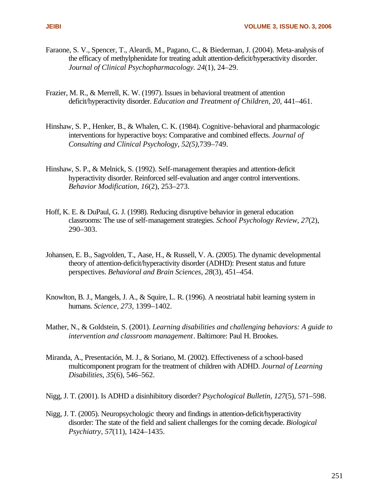- Faraone, S. V., Spencer, T., Aleardi, M., Pagano, C., & Biederman, J. (2004). Meta-analysis of the efficacy of methylphenidate for treating adult attention-deficit/hyperactivity disorder. *Journal of Clinical Psychopharmacology. 24*(1), 24–29.
- Frazier, M. R., & Merrell, K. W. (1997). Issues in behavioral treatment of attention deficit/hyperactivity disorder. *Education and Treatment of Children, 20*, 441–461.
- Hinshaw, S. P., Henker, B., & Whalen, C. K. (1984). Cognitive-behavioral and pharmacologic interventions for hyperactive boys: Comparative and combined effects. *Journal of Consulting and Clinical Psychology*, *52(5)*,739–749.
- Hinshaw, S. P., & Melnick, S. (1992). Self-management therapies and attention-deficit hyperactivity disorder. Reinforced self-evaluation and anger control interventions. *Behavior Modification*, *16*(2), 253–273.
- Hoff, K. E. & DuPaul, G. J. (1998). Reducing disruptive behavior in general education classrooms: The use of self-management strategies. *School Psychology Review*, *27*(2), 290–303.
- Johansen, E. B., Sagvolden, T., Aase, H., & Russell, V. A. (2005). The dynamic developmental theory of attention-deficit/hyperactivity disorder (ADHD): Present status and future perspectives. *Behavioral and Brain Sciences, 28*(3), 451–454.
- Knowlton, B. J., Mangels, J. A., & Squire, L. R. (1996). A neostriatal habit learning system in humans. *Science, 273,* 1399–1402.
- Mather, N., & Goldstein, S. (2001). *Learning disabilities and challenging behaviors: A guide to intervention and classroom management*. Baltimore: Paul H. Brookes.
- Miranda, A., Presentación, M. J., & Soriano, M. (2002). Effectiveness of a school-based multicomponent program for the treatment of children with ADHD. *Journal of Learning Disabilities*, *35*(6), 546–562.
- Nigg, J. T. (2001). Is ADHD a disinhibitory disorder? *Psychological Bulletin, 127*(5), 571–598.
- Nigg, J. T. (2005). Neuropsychologic theory and findings in attention-deficit/hyperactivity disorder: The state of the field and salient challenges for the coming decade. *Biological Psychiatry, 57*(11), 1424–1435.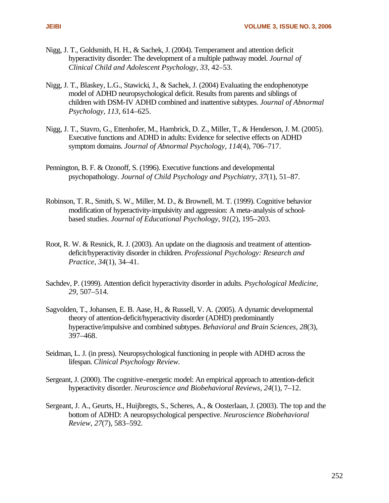- Nigg, J. T., Goldsmith, H. H., & Sachek, J. (2004). Temperament and attention deficit hyperactivity disorder: The development of a multiple pathway model. *Journal of Clinical Child and Adolescent Psychology, 33,* 42–53.
- Nigg, J. T., Blaskey, L.G., Stawicki, J., & Sachek, J. (2004) Evaluating the endophenotype model of ADHD neuropsychological deficit. Results from parents and siblings of children with DSM-IV ADHD combined and inattentive subtypes. *Journal of Abnormal Psychology, 113,* 614–625.
- Nigg, J. T., Stavro, G., Ettenhofer, M., Hambrick, D. Z., Miller, T., & Henderson, J. M. (2005). Executive functions and ADHD in adults: Evidence for selective effects on ADHD symptom domains. *Journal of Abnormal Psychology, 114*(4), 706–717.
- Pennington, B. F. & Ozonoff, S. (1996). Executive functions and developmental psychopathology. *Journal of Child Psychology and Psychiatry*, *37*(1), 51–87.
- Robinson, T. R., Smith, S. W., Miller, M. D., & Brownell, M. T. (1999). Cognitive behavior modification of hyperactivity-impulsivity and aggression: A meta-analysis of schoolbased studies. *Journal of Educational Psychology*, *91*(2), 195–203.
- Root, R. W. & Resnick, R. J. (2003). An update on the diagnosis and treatment of attentiondeficit/hyperactivity disorder in children. *Professional Psychology: Research and Practice*, *34*(1), 34–41.
- Sachdev, P. (1999). Attention deficit hyperactivity disorder in adults. *Psychological Medicine, 29*, 507–514.
- Sagvolden, T., Johansen, E. B. Aase, H., & Russell, V. A. (2005). A dynamic developmental theory of attention-deficit/hyperactivity disorder (ADHD) predominantly hyperactive/impulsive and combined subtypes. *Behavioral and Brain Sciences, 28*(3), 397–468.
- Seidman, L. J. (in press). Neuropsychological functioning in people with ADHD across the lifespan. *Clinical Psychology Review.*
- Sergeant, J. (2000). The cognitive-energetic model: An empirical approach to attention-deficit hyperactivity disorder. *Neuroscience and Biobehavioral Reviews, 24*(1), 7–12.
- Sergeant, J. A., Geurts, H., Huijbregts, S., Scheres, A., & Oosterlaan, J. (2003). The top and the bottom of ADHD: A neuropsychological perspective. *Neuroscience Biobehavioral Review, 27*(7), 583–592.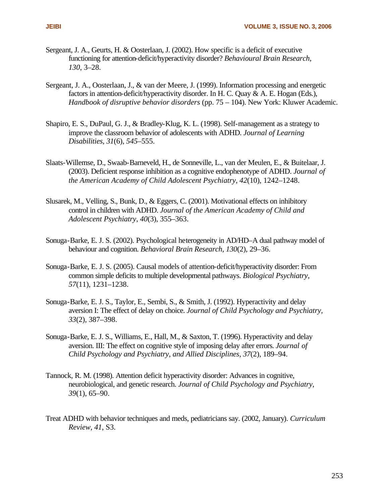- Sergeant, J. A., Geurts, H. & Oosterlaan, J. (2002). How specific is a deficit of executive functioning for attention-deficit/hyperactivity disorder? *Behavioural Brain Research, 130*, 3–28.
- Sergeant, J. A., Oosterlaan, J., & van der Meere, J. (1999). Information processing and energetic factors in attention-deficit/hyperactivity disorder. In H. C. Quay & A. E. Hogan (Eds.), *Handbook of disruptive behavior disorders* (pp. 75 – 104). New York: Kluwer Academic.
- Shapiro, E. S., DuPaul, G. J., & Bradley-Klug, K. L. (1998). Self-management as a strategy to improve the classroom behavior of adolescents with ADHD. *Journal of Learning Disabilities, 31*(6), *545*–555.
- Slaats-Willemse, D., Swaab-Barneveld, H., de Sonneville, L., van der Meulen, E., & Buitelaar, J. (2003). Deficient response inhibition as a cognitive endophenotype of ADHD. *Journal of the American Academy of Child Adolescent Psychiatry, 42*(10)*,* 1242–1248.
- Slusarek, M., Velling, S., Bunk, D., & Eggers, C. (2001). Motivational effects on inhibitory control in children with ADHD. *Journal of the American Academy of Child and Adolescent Psychiatry*, *40*(3)*,* 355–363.
- Sonuga-Barke, E. J. S. (2002). Psychological heterogeneity in AD/HD–A dual pathway model of behaviour and cognition. *Behavioral Brain Research, 130*(2)*,* 29–36.
- Sonuga-Barke, E. J. S. (2005). Causal models of attention-deficit/hyperactivity disorder: From common simple deficits to multiple developmental pathways. *Biological Psychiatry, 57*(11), 1231–1238.
- Sonuga-Barke, E. J. S., Taylor, E., Sembi, S., & Smith, J. (1992). Hyperactivity and delay aversion I: The effect of delay on choice. *Journal of Child Psychology and Psychiatry, 33*(2), 387–398.
- Sonuga-Barke, E. J. S., Williams, E., Hall, M., & Saxton, T. (1996). Hyperactivity and delay aversion. III: The effect on cognitive style of imposing delay after errors. *Journal of Child Psychology and Psychiatry, and Allied Disciplines, 37*(2), 189–94.
- Tannock, R. M. (1998). Attention deficit hyperactivity disorder: Advances in cognitive, neurobiological, and genetic research. *Journal of Child Psychology and Psychiatry*, *39*(1), 65–90.
- Treat ADHD with behavior techniques and meds, pediatricians say. (2002, January). *Curriculum Review, 41*, S3.